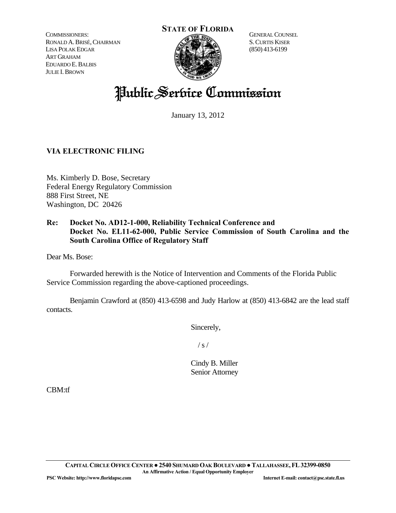COMMISSIONERS: RONALD A.BRISÉ,CHAIRMAN LISA POLAK EDGAR ART GRAHAM EDUARDO E.BALBIS JULIE I.BROWN



GENERAL COUNSEL S.CURTIS KISER (850) 413-6199

# Public Service Commission

January 13, 2012

# **VIA ELECTRONIC FILING**

Ms. Kimberly D. Bose, Secretary Federal Energy Regulatory Commission 888 First Street, NE Washington, DC 20426

# **Re: Docket No. AD12-1-000, Reliability Technical Conference and Docket No. EL11-62-000, Public Service Commission of South Carolina and the South Carolina Office of Regulatory Staff**

Dear Ms. Bose:

 Forwarded herewith is the Notice of Intervention and Comments of the Florida Public Service Commission regarding the above-captioned proceedings.

 Benjamin Crawford at (850) 413-6598 and Judy Harlow at (850) 413-6842 are the lead staff contacts.

Sincerely,

 $/ s /$ 

Cindy B. Miller Senior Attorney

CBM:tf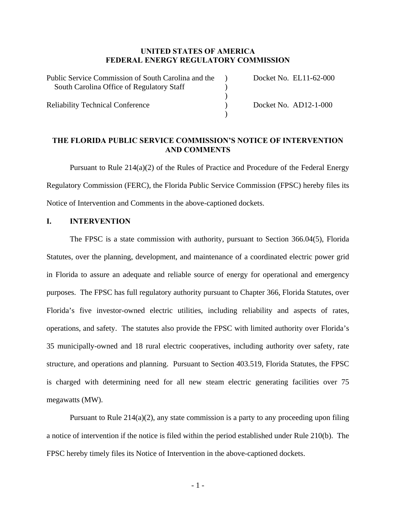## **UNITED STATES OF AMERICA FEDERAL ENERGY REGULATORY COMMISSION**

| Public Service Commission of South Carolina and the | Docket No. EL11-62-000 |
|-----------------------------------------------------|------------------------|
| South Carolina Office of Regulatory Staff           |                        |
|                                                     |                        |
| <b>Reliability Technical Conference</b>             | Docket No. AD12-1-000  |
|                                                     |                        |

## **THE FLORIDA PUBLIC SERVICE COMMISSION'S NOTICE OF INTERVENTION AND COMMENTS**

 Pursuant to Rule 214(a)(2) of the Rules of Practice and Procedure of the Federal Energy Regulatory Commission (FERC), the Florida Public Service Commission (FPSC) hereby files its Notice of Intervention and Comments in the above-captioned dockets.

#### **I. INTERVENTION**

 The FPSC is a state commission with authority, pursuant to Section 366.04(5), Florida Statutes, over the planning, development, and maintenance of a coordinated electric power grid in Florida to assure an adequate and reliable source of energy for operational and emergency purposes. The FPSC has full regulatory authority pursuant to Chapter 366, Florida Statutes, over Florida's five investor-owned electric utilities, including reliability and aspects of rates, operations, and safety. The statutes also provide the FPSC with limited authority over Florida's 35 municipally-owned and 18 rural electric cooperatives, including authority over safety, rate structure, and operations and planning. Pursuant to Section 403.519, Florida Statutes, the FPSC is charged with determining need for all new steam electric generating facilities over 75 megawatts (MW).

 Pursuant to Rule 214(a)(2), any state commission is a party to any proceeding upon filing a notice of intervention if the notice is filed within the period established under Rule 210(b). The FPSC hereby timely files its Notice of Intervention in the above-captioned dockets.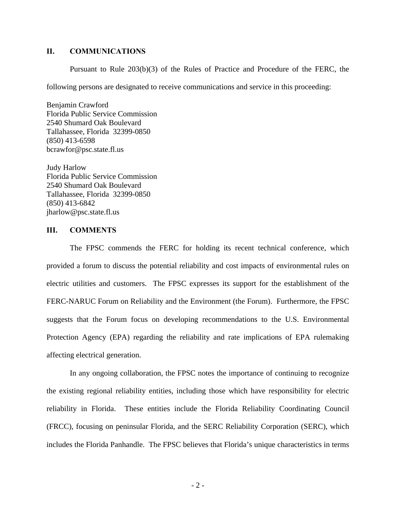## **II. COMMUNICATIONS**

Pursuant to Rule 203(b)(3) of the Rules of Practice and Procedure of the FERC, the

following persons are designated to receive communications and service in this proceeding:

Benjamin Crawford Florida Public Service Commission 2540 Shumard Oak Boulevard Tallahassee, Florida 32399-0850 (850) 413-6598 bcrawfor@psc.state.fl.us

Judy Harlow Florida Public Service Commission 2540 Shumard Oak Boulevard Tallahassee, Florida 32399-0850 (850) 413-6842 jharlow@psc.state.fl.us

## **III. COMMENTS**

 The FPSC commends the FERC for holding its recent technical conference, which provided a forum to discuss the potential reliability and cost impacts of environmental rules on electric utilities and customers. The FPSC expresses its support for the establishment of the FERC-NARUC Forum on Reliability and the Environment (the Forum). Furthermore, the FPSC suggests that the Forum focus on developing recommendations to the U.S. Environmental Protection Agency (EPA) regarding the reliability and rate implications of EPA rulemaking affecting electrical generation.

 In any ongoing collaboration, the FPSC notes the importance of continuing to recognize the existing regional reliability entities, including those which have responsibility for electric reliability in Florida. These entities include the Florida Reliability Coordinating Council (FRCC), focusing on peninsular Florida, and the SERC Reliability Corporation (SERC), which includes the Florida Panhandle. The FPSC believes that Florida's unique characteristics in terms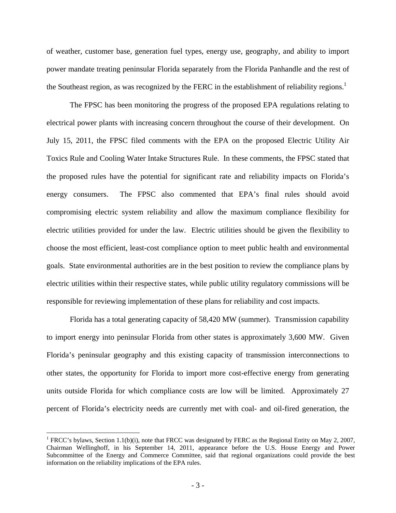of weather, customer base, generation fuel types, energy use, geography, and ability to import power mandate treating peninsular Florida separately from the Florida Panhandle and the rest of the Southeast region, as was recognized by the FERC in the establishment of reliability regions.<sup>1</sup>

 The FPSC has been monitoring the progress of the proposed EPA regulations relating to electrical power plants with increasing concern throughout the course of their development. On July 15, 2011, the FPSC filed comments with the EPA on the proposed Electric Utility Air Toxics Rule and Cooling Water Intake Structures Rule. In these comments, the FPSC stated that the proposed rules have the potential for significant rate and reliability impacts on Florida's energy consumers. The FPSC also commented that EPA's final rules should avoid compromising electric system reliability and allow the maximum compliance flexibility for electric utilities provided for under the law. Electric utilities should be given the flexibility to choose the most efficient, least-cost compliance option to meet public health and environmental goals. State environmental authorities are in the best position to review the compliance plans by electric utilities within their respective states, while public utility regulatory commissions will be responsible for reviewing implementation of these plans for reliability and cost impacts.

 Florida has a total generating capacity of 58,420 MW (summer). Transmission capability to import energy into peninsular Florida from other states is approximately 3,600 MW. Given Florida's peninsular geography and this existing capacity of transmission interconnections to other states, the opportunity for Florida to import more cost-effective energy from generating units outside Florida for which compliance costs are low will be limited. Approximately 27 percent of Florida's electricity needs are currently met with coal- and oil-fired generation, the

 $\overline{a}$ 

<sup>&</sup>lt;sup>1</sup> FRCC's bylaws, Section 1.1(b)(i), note that FRCC was designated by FERC as the Regional Entity on May 2, 2007, Chairman Wellinghoff, in his September 14, 2011, appearance before the U.S. House Energy and Power Subcommittee of the Energy and Commerce Committee, said that regional organizations could provide the best information on the reliability implications of the EPA rules.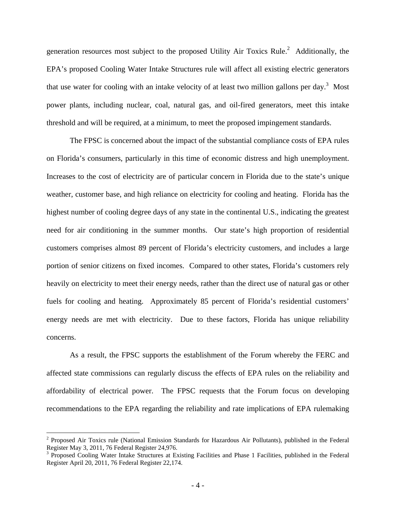generation resources most subject to the proposed Utility Air Toxics Rule.<sup>2</sup> Additionally, the EPA's proposed Cooling Water Intake Structures rule will affect all existing electric generators that use water for cooling with an intake velocity of at least two million gallons per day.<sup>3</sup> Most power plants, including nuclear, coal, natural gas, and oil-fired generators, meet this intake threshold and will be required, at a minimum, to meet the proposed impingement standards.

 The FPSC is concerned about the impact of the substantial compliance costs of EPA rules on Florida's consumers, particularly in this time of economic distress and high unemployment. Increases to the cost of electricity are of particular concern in Florida due to the state's unique weather, customer base, and high reliance on electricity for cooling and heating. Florida has the highest number of cooling degree days of any state in the continental U.S., indicating the greatest need for air conditioning in the summer months. Our state's high proportion of residential customers comprises almost 89 percent of Florida's electricity customers, and includes a large portion of senior citizens on fixed incomes. Compared to other states, Florida's customers rely heavily on electricity to meet their energy needs, rather than the direct use of natural gas or other fuels for cooling and heating. Approximately 85 percent of Florida's residential customers' energy needs are met with electricity. Due to these factors, Florida has unique reliability concerns.

 As a result, the FPSC supports the establishment of the Forum whereby the FERC and affected state commissions can regularly discuss the effects of EPA rules on the reliability and affordability of electrical power. The FPSC requests that the Forum focus on developing recommendations to the EPA regarding the reliability and rate implications of EPA rulemaking

 $\overline{a}$ 

 $2$  Proposed Air Toxics rule (National Emission Standards for Hazardous Air Pollutants), published in the Federal Register May 3, 2011, 76 Federal Register 24,976.

<sup>&</sup>lt;sup>3</sup> Proposed Cooling Water Intake Structures at Existing Facilities and Phase 1 Facilities, published in the Federal Register April 20, 2011, 76 Federal Register 22,174.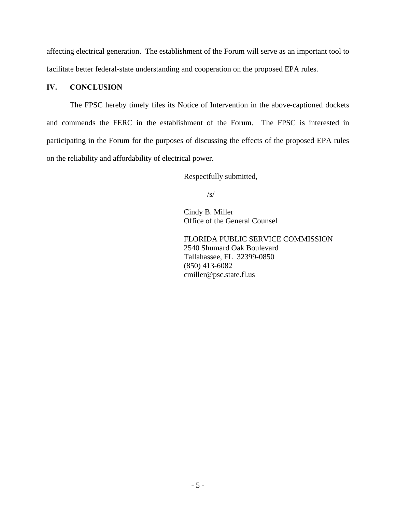affecting electrical generation. The establishment of the Forum will serve as an important tool to facilitate better federal-state understanding and cooperation on the proposed EPA rules.

# **IV. CONCLUSION**

 The FPSC hereby timely files its Notice of Intervention in the above-captioned dockets and commends the FERC in the establishment of the Forum. The FPSC is interested in participating in the Forum for the purposes of discussing the effects of the proposed EPA rules on the reliability and affordability of electrical power.

Respectfully submitted,

/s/

Cindy B. Miller Office of the General Counsel

FLORIDA PUBLIC SERVICE COMMISSION 2540 Shumard Oak Boulevard Tallahassee, FL 32399-0850 (850) 413-6082 cmiller@psc.state.fl.us